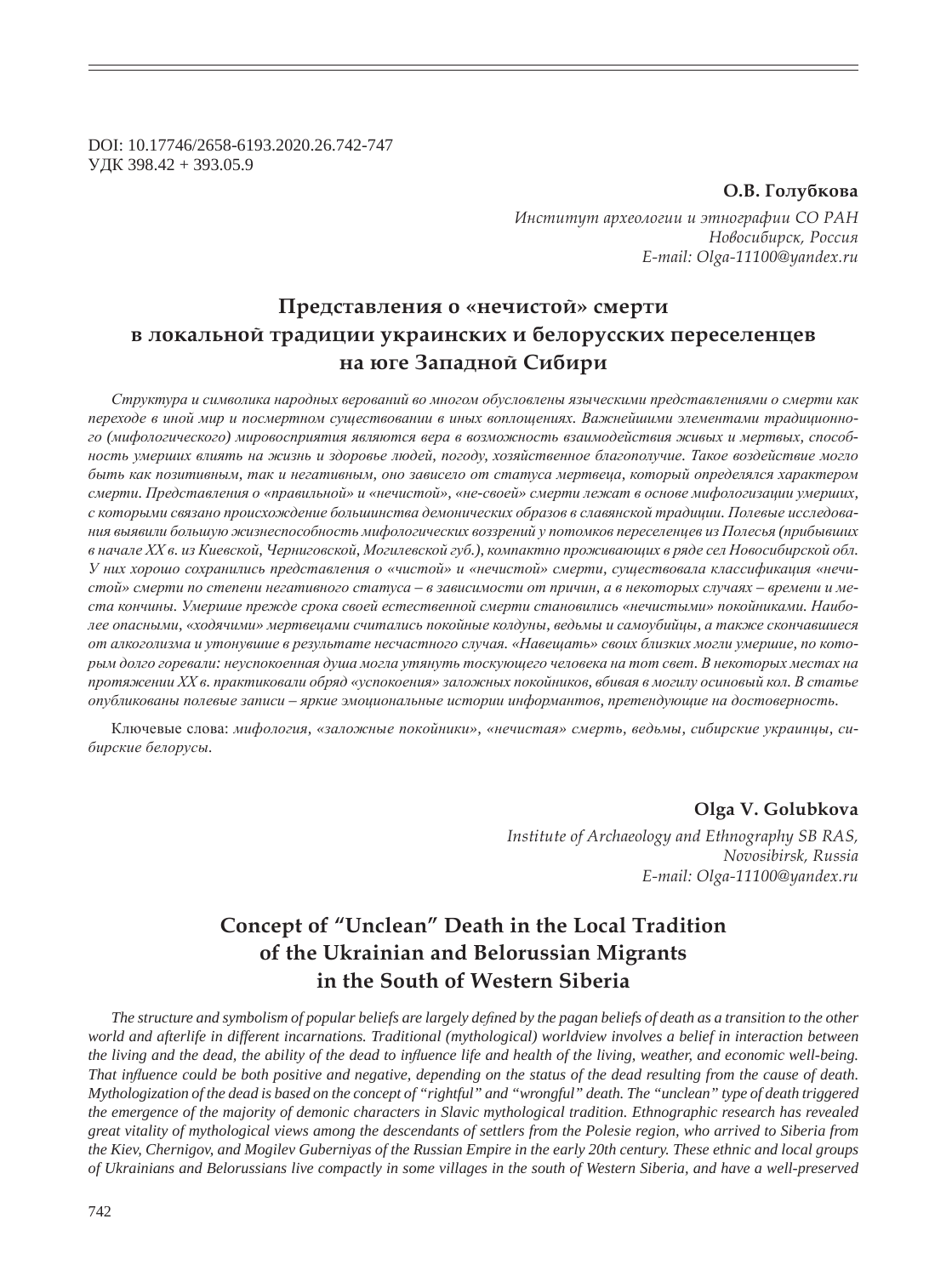DOI: 10.17746/2658-6193.2020.26.742-747 ɍȾɄ 398.42 + 393.05.9

### О.В. Голубкова

Институт археологии и этнографии СО РАН  $H$ овосибирск, Россия *E-mail: Olga-11100@yandex.ru*

# Представления о «нечистой» смерти **в локальной традиции украинских и белорусских переселенцев на юге Западной Сибири**

Структура и символика народных верований во многом обусловлены языческими представлениями о смерти как переходе в иной мир и посмертном существовании в иных воплощениях. Важнейшими элементами традиционного (мифологического) мировосприятия являются вера в возможность взаимодействия живых и мертвых, способность умерших влиять на жизнь и здоровье людей, погоду, хозяйственное благополучие. Такое воздействие могло  $6$ ыть как позитивным, так и негативным, оно зависело от статуса мертвеца, который определялся характером смерти. Представления о «правильной» и «нечистой», «не-своей» смерти лежат в основе мифологизации умерших,  $c$  которыми связано происхождение большинства демонических образов в славянской традиции. Полевые исследова*ɧɢɹ ɜɵɹɜɢɥɢ ɛɨɥɶɲɭɸ ɠɢɡɧɟɫɩɨɫɨɛɧɨɫɬɶ ɦɢɮɨɥɨɝɢɱɟɫɤɢɯ ɜɨɡɡɪɟɧɢɣ ɭ ɩɨɬɨɦɤɨɜ ɩɟɪɟɫɟɥɟɧɰɟɜ ɢɡ ɉɨɥɟɫɶɹ (ɩɪɢɛɵɜɲɢɯ* в начале XX в. из Киевской, Черниговской, Могилевской губ.), компактно проживающих в ряде сел Новосибирской обл. У них хорошо сохранились представления о «чистой» и «нечистой» смерти, существовала классификация «нечистой» смерти по степени негативного статуса – в зависимости от причин, а в некоторых случаях – времени и места кончины. Умершие прежде срока своей естественной смерти становились «нечистыми» покойниками. Наиболее опасными, «ходячими» мертвецами считались покойные колдуны, ведьмы и самоубийцы, а также скончавшиеся от алкоголизма и утонувшие в результате несчастного случая. «Навещать» своих близких могли умершие, по которым долго горевали: неуспокоенная душа могла утянуть тоскующего человека на тот свет. В некоторых местах на протяжении XX в. практиковали обряд «успокоения» заложных покойников, вбивая в могилу осиновый кол. В статье  $\delta$ иубликованы полевые записи – яркие эмоциональные истории информантов, претендующие на достоверность.

Ключевые слова: мифология, «заложные покойники», «нечистая» смерть, ведьмы, сибирские украинцы, си- $6\nu$ ирские белорусы.

**Olga V. Golubkova**

*Institute of Archaeology and Ethnography SB RAS, Novosibirsk, Russia E-mail: Olga-11100@yandex.ru*

## **Concept of "Unclean" Death in the Local Tradition of the Ukrainian and Belorussian Migrants in the South of Western Siberia**

The structure and symbolism of popular beliefs are largely defined by the pagan beliefs of death as a transition to the other *world and afterlife in different incarnations. Traditional (mythological) worldview involves a belief in interaction between*  the living and the dead, the ability of the dead to influence life and health of the living, weather, and economic well-being. *That inÀ uence could be both positive and negative, depending on the status of the dead resulting from the cause of death. Mythologization of the dead is based on the concept of "rightful" and "wrongful" death. The "unclean" type of death triggered the emergence of the majority of demonic characters in Slavic mythological tradition. Ethnographic research has revealed great vitality of mythological views among the descendants of settlers from the Polesie region, who arrived to Siberia from the Kiev, Chernigov, and Mogilev Guberniyas of the Russian Empire in the early 20th century. These ethnic and local groups of Ukrainians and Belorussians live compactly in some villages in the south of Western Siberia, and have a well-preserved*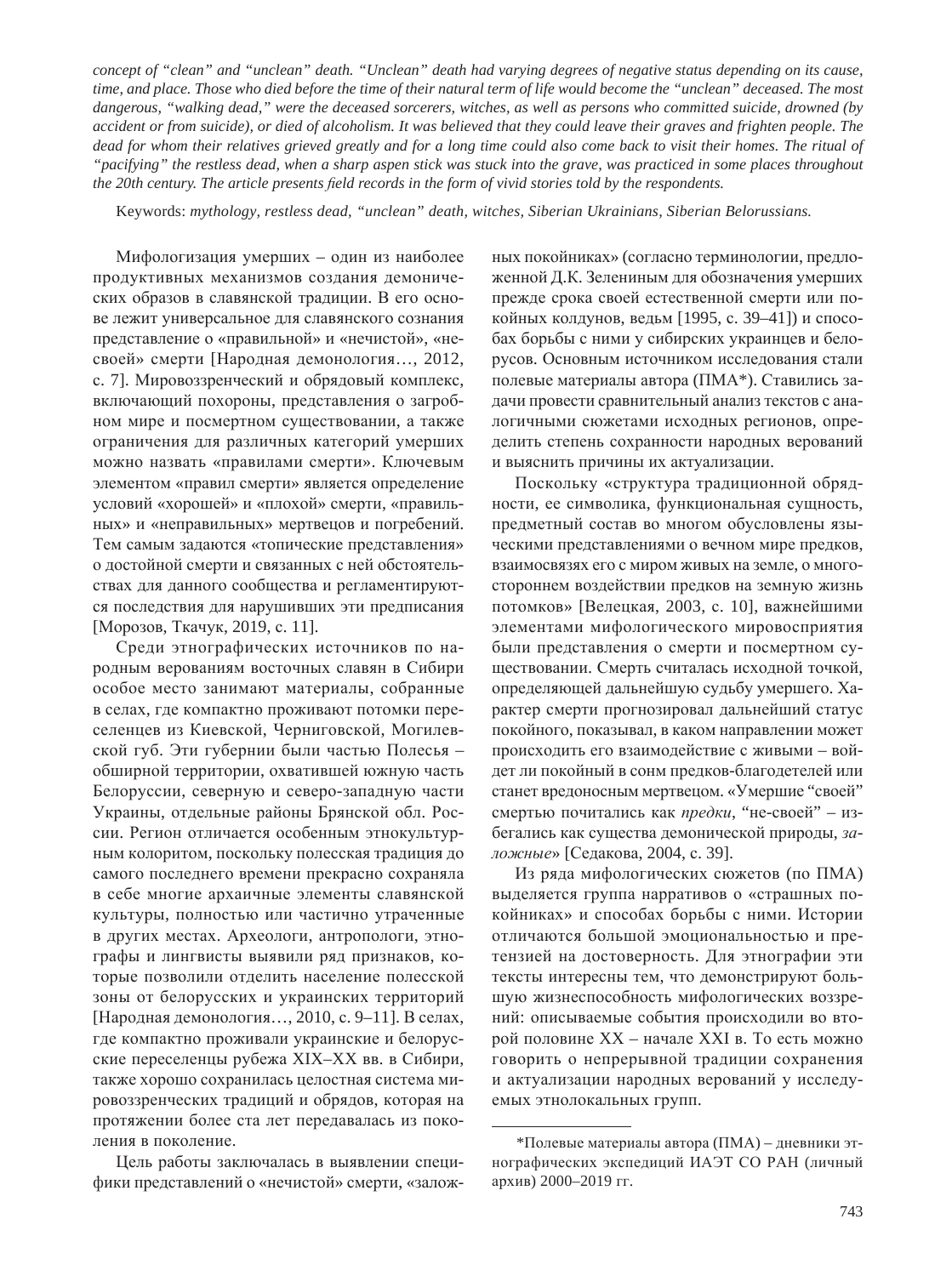*concept of "clean" and "unclean" death. "Unclean" death had varying degrees of negative status depending on its cause, time, and place. Those who died before the time of their natural term of life would become the "unclean" deceased. The most dangerous, "walking dead," were the deceased sorcerers, witches, as well as persons who committed suicide, drowned (by accident or from suicide), or died of alcoholism. It was believed that they could leave their graves and frighten people. The dead for whom their relatives grieved greatly and for a long time could also come back to visit their homes. The ritual of "pacifying" the restless dead, when a sharp aspen stick was stuck into the grave, was practiced in some places throughout the 20th century. The article presents field records in the form of vivid stories told by the respondents.* 

Keywords: *mythology, restless dead, "unclean" death, witches, Siberian Ukrainians, Siberian Belorussians.*

Мифологизация умерших – один из наиболее продуктивных механизмов создания демонических образов в славянской традиции. В его основе лежит универсальное для славянского сознания представление о «правильной» и «нечистой», «несвоей» смерти [Народная демонология..., 2012, с. 7]. Мировоззренческий и обрядовый комплекс, включающий похороны, представления о загробном мире и посмертном существовании, а также ограничения для различных категорий умерших можно назвать «правилами смерти». Ключевым элементом «правил смерти» является определение условий «хорошей» и «плохой» смерти, «правильных» и «неправильных» мертвецов и погребений. Тем самым задаются «топические представления» о достойной смерти и связанных с ней обстоятельствах для данного сообщества и регламентируются последствия для нарушивших эти предписания [Морозов, Ткачук, 2019, с. 11].

Среди этнографических источников по народным верованиям восточных славян в Сибири особое место занимают материалы, собранные в селах, где компактно проживают потомки переселенцев из Киевской, Черниговской, Могилевской губ. Эти губернии были частью Полесья обширной территории, охватившей южную часть Белоруссии, северную и северо-западную части Украины, отдельные районы Брянской обл. России. Регион отличается особенным этнокультурным колоритом, поскольку полесская традиция до самого последнего времени прекрасно сохраняла в себе многие архаичные элементы славянской культуры, полностью или частично утраченные в других местах. Археологи, антропологи, этнографы и лингвисты выявили ряд признаков, которые позволили отделить население полесской зоны от белорусских и украинских территорий [Народная демонология..., 2010, с. 9–11]. В селах, где компактно проживали украинские и белорусские переселенцы рубежа XIX–XX вв. в Сибири, также хорошо сохранилась целостная система мировоззренческих традиций и обрядов, которая на протяжении более ста лет передавалась из поколения в поколение.

Цель работы заключалась в выявлении специфики представлений о «нечистой» смерти, «заложных покойниках» (согласно терминологии, предложенной Д.К. Зелениным для обозначения умерших прежде срока своей естественной смерти или покойных колдунов, ведьм [1995, с. 39-41]) и способах борьбы с ними у сибирских украинцев и белорусов. Основным источником исследования стали полевые материалы автора (ПМА\*). Ставились задачи провести сравнительный анализ текстов с аналогичными сюжетами исходных регионов, определить степень сохранности народных верований и выяснить причины их актуализации.

Поскольку «структура традиционной обрядности, ее символика, функциональная сущность, предметный состав во многом обусловлены языческими представлениями о вечном мире предков, взаимосвязях его с миром живых на земле, о многостороннем воздействии предков на земную жизнь потомков» [Велецкая, 2003, с. 10], важнейшими элементами мифологического мировосприятия были представления о смерти и посмертном существовании. Смерть считалась исходной точкой, определяющей дальнейшую судьбу умершего. Характер смерти прогнозировал дальнейший статус покойного, показывал, в каком направлении может происходить его взаимодействие с живыми - войдет ли покойный в сонм предков-благодетелей или станет вредоносным мертвецом. «Умершие "своей" смертью почитались как предки, "не-своей" – избегались как существа демонической природы, заложные» [Седакова, 2004, с. 39].

Из ряда мифологических сюжетов (по ПМА) выделяется группа нарративов о «страшных покойниках» и способах борьбы с ними. Истории отличаются большой эмоциональностью и претензией на достоверность. Для этнографии эти тексты интересны тем, что демонстрируют большую жизнеспособность мифологических воззрений: описываемые события происходили во второй половине XX – начале XXI в. То есть можно говорить о непрерывной традиции сохранения и актуализации народных верований у исследуемых этнолокальных групп.

 $*$ Полевые материалы автора (ПМА) – дневники этнографических экспедиций ИАЭТ СО РАН (личный архив) 2000–2019 гг.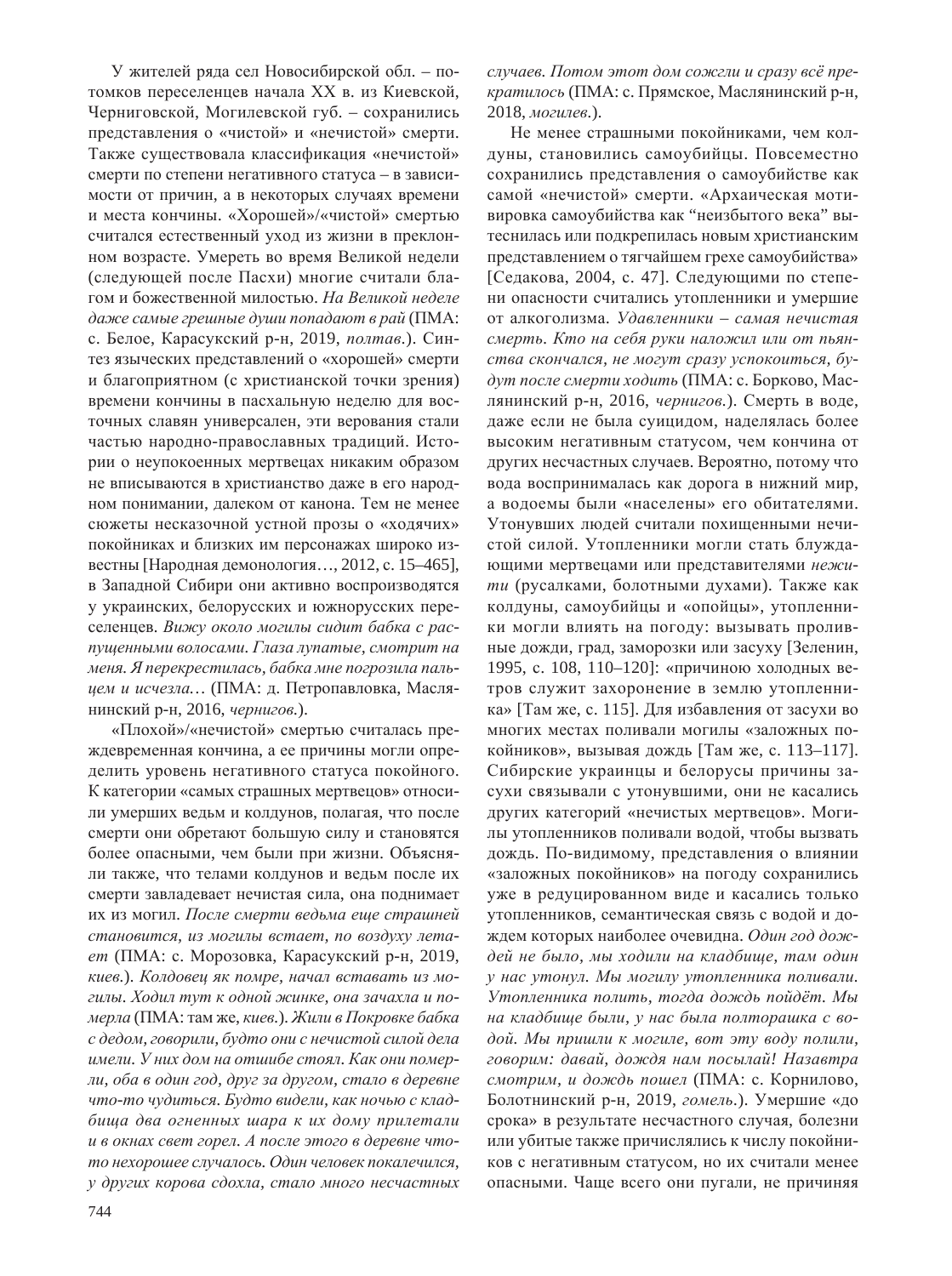У жителей ряда сел Новосибирской обл. – потомков переселенцев начала XX в. из Киевской, Черниговской, Могилевской губ. – сохранились представления о «чистой» и «нечистой» смерти. Также существовала классификация «нечистой» смерти по степени негативного статуса – в зависимости от причин, а в некоторых случаях времени и места кончины. «Хорошей»/«чистой» смертью считался естественный уход из жизни в преклонном возрасте. Умереть во время Великой недели (следующей после Пасхи) многие считали благом и божественной милостью. На Великой неделе даже самые грешные души попадают в рай (ПМА: с. Белое, Карасукский р-н, 2019, *полтав*.). Синтез языческих представлений о «хорошей» смерти и благоприятном (с христианской точки зрения) времени кончины в пасхальную неделю для восточных славян универсален, эти верования стали частью народно-православных традиций. Истории о неупокоенных мертвецах никаким образом не вписываются в христианство даже в его народном понимании, далеком от канона. Тем не менее сюжеты несказочной устной прозы о «ходячих» покойниках и близких им персонажах широко известны [Народная демонология..., 2012, с. 15–465], в Западной Сибири они активно воспроизводятся у украинских, белорусских и южнорусских переселенцев. Вижу около могилы сидит бабка с распущенными волосами. Глаза лупатые, смотрит на  $\mu$ еня. Я перекрестилась, бабка мне погрозила паль*цем и исчезла...* (ПМА: д. Петропавловка, Маслянинский р-н, 2016, *чернигов*.).

«Плохой»/«нечистой» смертью считалась преждевременная кончина, а ее причины могли определить уровень негативного статуса покойного. К категории «самых страшных мертвецов» относили умерших ведьм и колдунов, полагая, что после смерти они обретают большую силу и становятся более опасными, чем были при жизни. Объясняли также, что телами колдунов и ведьм после их смерти завладевает нечистая сила, она поднимает их из могил. *После смерти ведьма еще страшней* становится, из могилы встает, по воздуху лета*ет* (ПМА: с. Морозовка, Карасукский р-н, 2019,  $\kappa$ иев.). Колдовец як помре, начал вставать из могилы. Ходил тут к одной жинке, она зачахла и по- $\mu$ *мерла* (ПМА: там же, киев.). Жили в Покровке бабка  $c$  дедом, говорили, будто они с нечистой силой дела  $u$ мели. У них дом на отшибе стоял. Как они помер*ли, оба в один год, друг за другом, стало в деревне* **что-то чудиться.** Будто видели, как ночью с клад- $6$ ища два огненных шара к их дому прилетали  $u$  в окнах свет горел. А после этого в деревне что $m$ о нехорошее случалось. Один человек покалечился, у других корова сдохла, стало много несчастных

случаев. Потом этот дом сожели и сразу всё пре*кратилось* (ПМА: с. Прямское, Маслянинский р-н, 2018, могилев.).

Не менее страшными покойниками, чем колдуны, становились самоубийцы. Повсеместно сохранились представления о самоубийстве как самой «нечистой» смерти. «Архаическая мотивировка самоубийства как "неизбытого века" вытеснилась или подкрепилась новым христианским представлением о тягчайшем грехе самоубийства» [Седакова, 2004, с. 47]. Следующими по степени опасности считались утопленники и умершие от алкоголизма. Удавленники – самая нечистая смерть. Кто на себя руки наложил или от пьян $c$ тва скончался, не могут сразу успокоиться, будут после смерти ходить (ПМА: с. Борково, Маслянинский р-н, 2016, *чернигов*.). Смерть в воде, даже если не была суицидом, наделялась более высоким негативным статусом, чем кончина от других несчастных случаев. Вероятно, потому что вода воспринималась как дорога в нижний мир, а водоемы были «населены» его обитателями. Утонувших людей считали похищенными нечистой силой. Утопленники могли стать блуждающими мертвецами или представителями нежити (русалками, болотными духами). Также как колдуны, самоубийцы и «опойцы», утопленники могли влиять на погоду: вызывать проливные дожди, град, заморозки или засуху [Зеленин, 1995, с. 108, 110-120]: «причиною холодных ветров служит захоронение в землю утопленника» [Там же, с. 115]. Для избавления от засухи во многих местах поливали могилы «заложных покойников», вызывая дождь [Там же, с. 113–117]. Сибирские украинцы и белорусы причины засухи связывали с утонувшими, они не касались других категорий «нечистых мертвецов». Могилы утопленников поливали водой, чтобы вызвать дождь. По-видимому, представления о влиянии «заложных покойников» на погоду сохранились уже в редуцированном виде и касались только утопленников, семантическая связь с водой и дождем которых наиболее очевидна. Один год дож- $\partial e\check{u}$  не было, мы ходили на кладбище, там один у нас утонул. Мы могилу утопленника поливали. Утопленника полить, тогда дождь пойдёт. Мы  $\mu$ а кладбище были, у нас была полторашка с во- $\partial$ *ой.* Мы пришли к могиле, вот эту воду полили,  $2080$ рим: давай, дождя нам посылай! Назавтра смотрим, и дождь пошел (ПМА: с. Корнилово, Болотнинский р-н, 2019, гомель.). Умершие «до срока» в результате несчастного случая, болезни или убитые также причислялись к числу покойников с негативным статусом, но их считали менее опасными. Чаще всего они пугали, не причиняя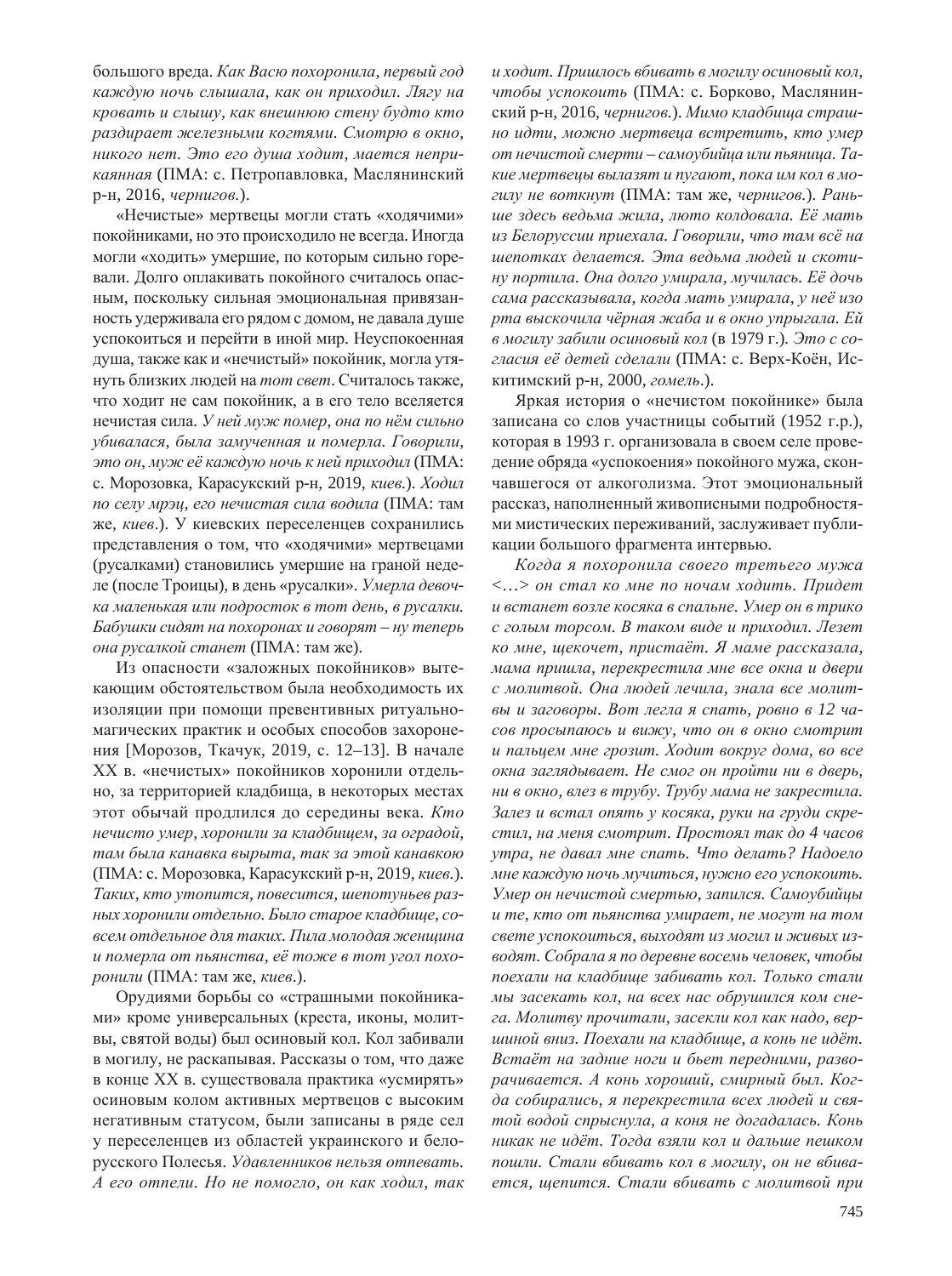большого вреда. Как Васю похоронила, первый год **каждую ночь слышала, как он приходил. Лягу на**  $$  $pa$ здирает железными когтями. Смотрю в окно,  $Hukozo$  *Hem.* Это его душа ходит, мается неприкаянная (ПМА: с. Петропавловка, Маслянинский р-н, 2016, *чернигов*.).

«Нечистые» мертвецы могли стать «ходячими» покойниками, но это происходило не всегда. Иногда могли «ходить» умершие, по которым сильно горевали. Долго оплакивать покойного считалось опасным, поскольку сильная эмоциональная привязанность удерживала его рядом с домом, не давала душе успокоиться и перейти в иной мир. Неуспокоенная душа, также как и «нечистый» покойник, могла утянуть близких людей на *тот свет*. Считалось также, что ходит не сам покойник, а в его тело вселяется нечистая сила. У ней муж помер, она по нём сильно  $y$ бивалася, была замученная и померла. Говорили, это он, муж её каждую ночь к ней приходил (ПМА: с. Морозовка, Карасукский р-н, 2019, *киев.*). *Ходил* по селу мрэц, его нечистая сила водила (ПМА: там же, *киев*.). У киевских переселенцев сохранились представления о том, что «ходячими» мертвецами (русалками) становились умершие на граной неделе (после Троицы), в день «русалки». Умерла девоч**ка** маленькая или подросток в тот день, в русалки.  $a$ *Бабушки сидят на похоронах и говорят – ну теперь <i>ына русалкой станет* (ПМА: там же).

Из опасности «заложных покойников» вытекаюшим обстоятельством была необходимость их изоляции при помощи превентивных ритуальномагических практик и особых способов захоронения [Морозов, Ткачук, 2019, с. 12–13]. В начале XX в. «нечистых» покойников хоронили отдельно, за территорией кладбища, в некоторых местах этот обычай продлился до середины века. *Кто ɧɟɱɢɫɬɨ ɭɦɟɪ, ɯɨɪɨɧɢɥɢ ɡɚ ɤɥɚɞɛɢɳɟɦ, ɡɚ ɨɝɪɚɞɨɣ,*   $ma$ м была канавка вырыта, так за этой канавкою (ПМА: с. Морозовка, Карасукский р-н, 2019, *киев*.).  $T$ аких, кто утопится, повесится, шепотуньев раз- $H$ ЫХ ХОРОНИЛИ ОТО СЛЬНО. БЫЛО СТАРОЕ КЛАД бИЩЕ, СО- $\epsilon$ есем отдельное для таких. Пила молодая женщина и померла от пьянства, её тоже в тот угол похо*ронили* (ПМА: там же, *киев*.).

Орудиями борьбы со «страшными покойниками» кроме универсальных (креста, иконы, молитвы, святой воды) был осиновый кол. Кол забивали в могилу, не раскапывая. Рассказы о том, что даже в конце XX в. существовала практика «усмирять» осиновым колом активных мертвецов с высоким негативным статусом, были записаны в ряде сел у переселенцев из областей украинского и белорусского Полесья. Удавленников нельзя отпевать.  $A$  его отпели. Но не помогло, он как ходил, так  $u$  ходит. Пришлось вбивать в могилу осиновый кол, чтобы успокоить (ПМА: с. Борково, Маслянинский р-н, 2016, чернигов.). Мимо кладбища страш $ho$  идти, можно мертвеца встретить, кто умер  $\delta$ *om нечистой смерти – самоубийца или пьяница. Та* $kue$  мертвецы вылазят и пугают, пока им кол в могилу не воткнут (ПМА: там же, чернигов.). Рань- $\mu$ е здесь ведьма жила, люто колдовала. Её мать из Белоруссии приехала. Говорили, что там всё на  $u$ епотках делается. Эта ведьма людей и скоти- $Hy$  портила. Она долго умирала, мучилась. Её дочь  $ca$ ма рассказывала, когда мать умирала, у неё изо  $pma$  выскочила чёрная жаба и в окно упрыгала. Ей  $\boldsymbol{\epsilon}$  могилу забили осиновый кол (в 1979 г.). Это с согласия её детей сделали (ПМА: с. Верх-Коён, Искитимский р-н, 2000, гомель.).

Яркая история о «нечистом покойнике» была записана со слов участницы событий (1952 г.р.), которая в 1993 г. организовала в своем селе проведение обряда «успокоения» покойного мужа, скончавшегося от алкоголизма. Этот эмоциональный рассказ, наполненный живописными подробностями мистических переживаний, заслуживает публикации большого фрагмента интервью.

 $K$ огда я похоронила своего третьего мужа  $\langle ... \rangle$  он стал ко мне по ночам ходить. Придет  $\mu$  встанет возле косяка в спальне. Умер он в трико  $\alpha$  голым торсом. В таком виде и приходил. Лезет  $\kappa$ о мне, щекочет, пристаёт. Я маме рассказала,  $M$ ама пришла, перекрестила мне все окна и двери  $c$  молитвой. Она людей лечила, знала все молит- $\varepsilon$ ы и заговоры. Вот легла я спать, ровно в 12 ча- $\cos$  просыпаюсь и вижу, что он в окно смотрит  $\mu$  пальцем мне грозит. Ходит вокруг дома, во все  $\alpha$ кна заглядывает. Не смог он пройти ни в дверь,  $H\alpha$  в окно, влез в трубу. Трубу мама не закрестила. Залез и встал опять у косяка, руки на груди скре $c$ тил, на меня смотрит. Простоял так до 4 часов утра, не давал мне спать. Что делать? Надоело  $MHe$  каждую ночь мучиться, нужно его успокоить. *ɍɦɟɪ ɨɧ ɧɟɱɢɫɬɨɣ ɫɦɟɪɬɶɸ, ɡɚɩɢɥɫɹ. ɋɚɦɨɭɛɢɣɰɵ*  $\mu$  *me*, кто от пьянства умирает, не могут на том  $c$ вете успокоиться, выходят из могил и живых из- $\alpha$ *водят. Собрала я по деревне восемь человек, чтобы* поехали на кладбище забивать кол. Только стали  $M$ ы засекать кол, на всех нас обрушился ком сне $ea.$  Молитву прочитали, засекли кол как надо, вер*ɲɢɧɨɣ ɜɧɢɡ. ɉɨɟɯɚɥɢ ɧɚ ɤɥɚɞɛɢɳɟ, ɚ ɤɨɧɶ ɧɟ ɢɞɺɬ.*  Встаёт на задние ноги и бьет передними, разво $pa\nu$ ивается. А конь хороший, смирный был. Ког- $\partial a$  собирались, я перекрестила всех людей и свя $m$ *ой водой спрыснула, а коня не догадалась. Конь*  $Hukak$  *He udëm. Тогда взяли кол и дальше пешком*  $nouxu$ . Стали вбивать кол в могилу, он не вбива $emcs$ , щепится. Стали вбивать с молитвой при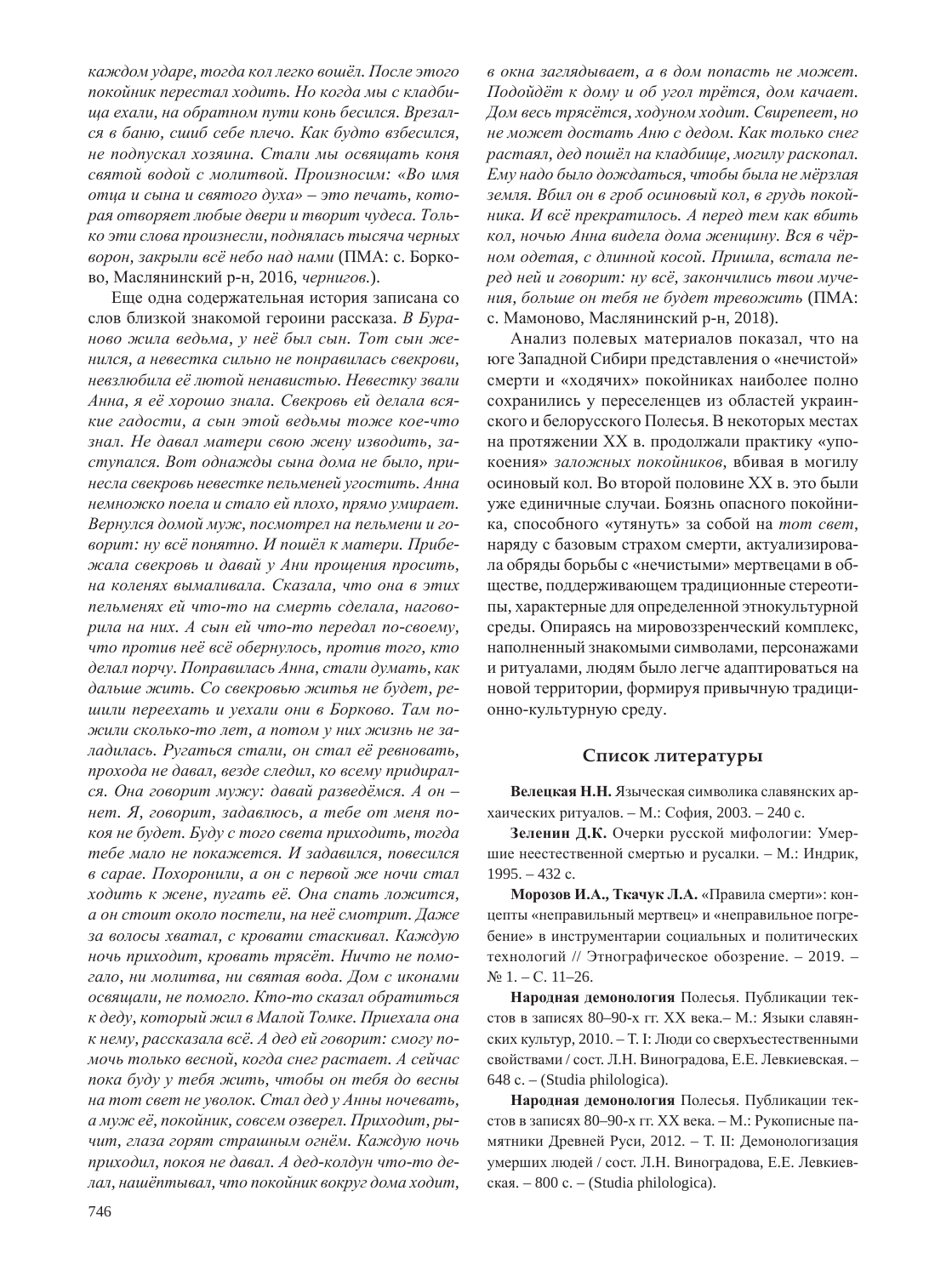$\kappa$ аждом ударе, тогда кол легко вошёл. После этого покойник перестал ходить. Но когда мы с кладби*ɳɚ ɟɯɚɥɢ, ɧɚ ɨɛɪɚɬɧɨɦ ɩɭɬɢ ɤɨɧɶ ɛɟɫɢɥɫɹ. ȼɪɟɡɚɥ* $c$ я в баню, сшиб себе плечо. Как будто взбесился,  $\mu$ е подпускал хозяина. Стали мы освящать коня  $c$ вятой водой с молитвой. Произносим: «Во имя **утца и сына и святого духа» – это печать, кото** $pa$ я отворяет любые двери и творит чудеса. Толь $k$ *о эти слова произнесли, поднялась тысяча черных*  $\epsilon$ орон, закрыли всё небо над нами (ПМА: с. Борково, Маслянинский р-н, 2016, чернигов.).

Еще одна содержательная история записана со слов близкой знакомой героини рассказа. В Бура- $\mu$ ово жила ведьма, у неё был сын. Тот сын же*ɧɢɥɫɹ, ɚ ɧɟɜɟɫɬɤɚ ɫɢɥɶɧɨ ɧɟ ɩɨɧɪɚɜɢɥɚɫɶ ɫɜɟɤɪɨɜɢ,*  **невзлюбила её лютой ненавистью. Невестку звали** Анна, я её хорошо знала. Свекровь ей делала вся $xue$  *гадости, а сын этой ведьмы тоже кое-что* знал. Не давал матери свою жену изводить, заступался. Вот однажды сына дома не было, при*ɧɟɫɥɚ ɫɜɟɤɪɨɜɶ ɧɟɜɟɫɬɤɟ ɩɟɥɶɦɟɧɟɣ ɭɝɨɫɬɢɬɶ. Ⱥɧɧɚ*  $H$ емножко поела и стало ей плохо, прямо умирает. Вернулся домой муж, посмотрел на пельмени и го- $\epsilon$ орит: ну всё понятно. И пошёл к матери. Прибе- $\frac{\partial f}{\partial x}$  *жала свекровь и давай у Ани прощения просить,*  $H$ а коленях вымаливала. Сказала, что она в этих пельменях ей что-то на смерть сделала, нагово $pu$ ла на них. А сын ей что-то передал по-своему, *что против неё всё обернулось, против того, кто*  $\partial$ елал порчу. Поправилась Анна, стали думать, как  $\partial$ альше жить. Со свекровью житья не будет, ре**шили переехать и уехали они в Борково. Там по** $x^2 + 3x^2 + 4x + 5$  *B . However two nem, a nomom y них жизнь не за*ладилась. Ругаться стали, он стал её ревновать, прохода не давал, везде следил, ко всему придирал $c$ я. Она говорит мужу: давай разведёмся. А он –  $\mu$ ет. Я, говорит, задавлюсь, а тебе от меня по*коя не будет. Буду с того света приходить, тогда*  $m$ ебе мало не покажется. И задавился, повесился  $\boldsymbol{\beta}$  **сарае. Похоронили, а он с первой же ночи стал**  $x$ одить к жене, пугать её. Она спать ложится,  $a$  он стоит около постели, на неё смотрит. Даже за волосы хватал, с кровати стаскивал. Каждую  $\mu$ очь приходит, кровать трясёт. Ничто не помо- $\lambda$ ало, ни молитва, ни святая вода. Дом с иконами  $\alpha$ свящали, не помогло. Кто-то сказал обратиться  $\kappa$  деду, который жил в Малой Томке. Приехала она  $\kappa$  нему, рассказала всё. А дед ей говорит: смогу по- $M$ *очь только весной, когда снег растает. А сейчас noка буду у тебя жить, чтобы он тебя до весны*  $H$ **а** тот свет не уволок. Стал дед у Анны ночевать, а муж её, покойник, совсем озверел. Приходит, рычит, глаза горят страшным огнём. Каждую ночь  $npuxodu$ л, покоя не давал. А дед-колдун что-то дедал, нашёптывал, что покойник вокруг дома ходит,

 $\boldsymbol{\epsilon}$  окна заглядывает, а в дом попасть не может.  $\Pi$ одойдёт к дому и об угол трётся, дом качает.  $\bar{A}$ ом весь трясётся, ходуном ходит. Свирепеет, но  $\mu$ е может достать Аню с дедом. Как только снег  $pacma\overline{x}$ , дед пошёл на кладбище, могилу раскопал.  $E$ му надо было дождаться, чтобы была не мёрзлая земля. Вбил он в гроб осиновый кол, в грудь покой- $H$ ика. И всё прекратилось. А перед тем как вбить кол, ночью Анна видела дома женщину. Вся в чёр- $HOM$  одетая, с длинной косой. Пришла, встала пе $pe\delta$  ней и говорит: ну всё, закончились твои муче- $\mu$ ия, больше он тебя не будет тревожить (ПМА: с. Мамоново, Маслянинский р-н, 2018).

Анализ полевых материалов показал, что на юге Западной Сибири представления о «нечистой» смерти и «ходячих» покойниках наиболее полно сохранились у переселенцев из областей украинского и белорусского Полесья. В некоторых местах на протяжении XX в. продолжали практику «упокоения» заложных покойников, вбивая в могилу осиновый кол. Во второй половине XX в. это были уже единичные случаи. Боязнь опасного покойника, способного «утянуть» за собой на *тот свет*, наряду с базовым страхом смерти, актуализировала обряды борьбы с «нечистыми» мертвецами в обществе, поддерживающем традиционные стереотипы, характерные для определенной этнокультурной среды. Опираясь на мировоззренческий комплекс, наполненный знакомыми символами, персонажами и ритуалами, людям было легче адаптироваться на новой территории, формируя привычную традиционно-культурную среду.

#### Список литературы

Велецкая Н.Н. Языческая символика славянских архаических ритуалов. – М.: София, 2003. – 240 с.

Зеленин Д.К. Очерки русской мифологии: Умершие неестественной смертью и русалки. – М.: Индрик,  $1995. - 432$  c.

**Морозов И.А., Ткачук Л.А.** «Правила смерти»: концепты «неправильный мертвец» и «неправильное погребение» в инструментарии социальных и политических технологий // Этнографическое обозрение. - 2019. - $N_2$  1. – C. 11–26.

Народная демонология Полесья. Публикации текстов в записях 80–90-х гг. XX века.– М.: Языки славянских культур, 2010. – Т. І: Люди со сверхъестественными свойствами / сост. Л.Н. Виноградова, Е.Е. Левкиевская. - $648$  c. – (Studia philologica).

Народная демонология Полесья. Публикации текстов в записях 80–90-х гг. XX века. – М.: Рукописные памятники Древней Руси, 2012. - Т. II: Демонологизация умерших людей / сост. Л.Н. Виноградова, Е.Е. Левкиевская. – 800 c. – (Studia philologica).